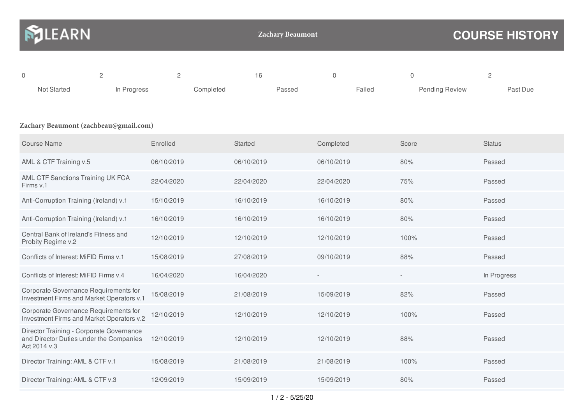| <b>NJLEARN</b> |             |           | <b>Zachary Beaumont</b> |        | <b>COURSE HISTORY</b> |          |  |
|----------------|-------------|-----------|-------------------------|--------|-----------------------|----------|--|
| 0              |             |           | 16                      |        | 0                     |          |  |
| Not Started    | In Progress | Completed | Passed                  | Failed | <b>Pending Review</b> | Past Due |  |

## **Zachary Beaumont (zachbeau@gmail.com)**

| <b>Course Name</b>                                                                                  | Enrolled   | <b>Started</b> | Completed  | Score | <b>Status</b> |
|-----------------------------------------------------------------------------------------------------|------------|----------------|------------|-------|---------------|
| AML & CTF Training v.5                                                                              | 06/10/2019 | 06/10/2019     | 06/10/2019 | 80%   | Passed        |
| AML CTF Sanctions Training UK FCA<br>Firms v.1                                                      | 22/04/2020 | 22/04/2020     | 22/04/2020 | 75%   | Passed        |
| Anti-Corruption Training (Ireland) v.1                                                              | 15/10/2019 | 16/10/2019     | 16/10/2019 | 80%   | Passed        |
| Anti-Corruption Training (Ireland) v.1                                                              | 16/10/2019 | 16/10/2019     | 16/10/2019 | 80%   | Passed        |
| Central Bank of Ireland's Fitness and<br>Probity Regime v.2                                         | 12/10/2019 | 12/10/2019     | 12/10/2019 | 100%  | Passed        |
| Conflicts of Interest: MiFID Firms v.1                                                              | 15/08/2019 | 27/08/2019     | 09/10/2019 | 88%   | Passed        |
| Conflicts of Interest: MiFID Firms v.4                                                              | 16/04/2020 | 16/04/2020     |            |       | In Progress   |
| Corporate Governance Requirements for<br>Investment Firms and Market Operators v.1                  | 15/08/2019 | 21/08/2019     | 15/09/2019 | 82%   | Passed        |
| Corporate Governance Requirements for<br>Investment Firms and Market Operators v.2                  | 12/10/2019 | 12/10/2019     | 12/10/2019 | 100%  | Passed        |
| Director Training - Corporate Governance<br>and Director Duties under the Companies<br>Act 2014 v.3 | 12/10/2019 | 12/10/2019     | 12/10/2019 | 88%   | Passed        |
| Director Training: AML & CTF v.1                                                                    | 15/08/2019 | 21/08/2019     | 21/08/2019 | 100%  | Passed        |
| Director Training: AML & CTF v.3                                                                    | 12/09/2019 | 15/09/2019     | 15/09/2019 | 80%   | Passed        |